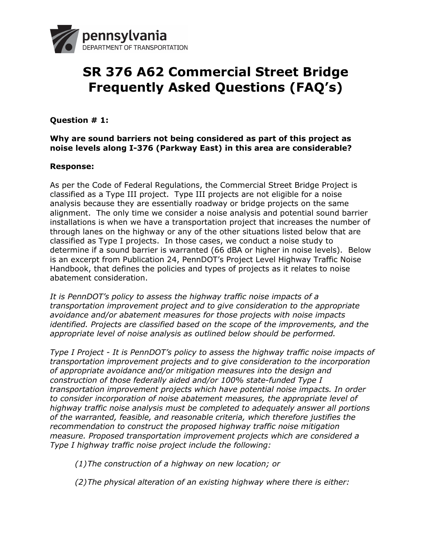

# **SR 376 A62 Commercial Street Bridge Frequently Asked Questions (FAQ's)**

# **Question # 1:**

## **Why are sound barriers not being considered as part of this project as noise levels along I-376 (Parkway East) in this area are considerable?**

## **Response:**

As per the Code of Federal Regulations, the Commercial Street Bridge Project is classified as a Type III project. Type III projects are not eligible for a noise analysis because they are essentially roadway or bridge projects on the same alignment. The only time we consider a noise analysis and potential sound barrier installations is when we have a transportation project that increases the number of through lanes on the highway or any of the other situations listed below that are classified as Type I projects. In those cases, we conduct a noise study to determine if a sound barrier is warranted (66 dBA or higher in noise levels). Below is an excerpt from Publication 24, PennDOT's Project Level Highway Traffic Noise Handbook, that defines the policies and types of projects as it relates to noise abatement consideration.

*It is PennDOT's policy to assess the highway traffic noise impacts of a transportation improvement project and to give consideration to the appropriate avoidance and/or abatement measures for those projects with noise impacts identified. Projects are classified based on the scope of the improvements, and the appropriate level of noise analysis as outlined below should be performed.*

*Type I Project - It is PennDOT's policy to assess the highway traffic noise impacts of transportation improvement projects and to give consideration to the incorporation of appropriate avoidance and/or mitigation measures into the design and construction of those federally aided and/or 100% state-funded Type I transportation improvement projects which have potential noise impacts. In order to consider incorporation of noise abatement measures, the appropriate level of highway traffic noise analysis must be completed to adequately answer all portions of the warranted, feasible, and reasonable criteria, which therefore justifies the recommendation to construct the proposed highway traffic noise mitigation measure. Proposed transportation improvement projects which are considered a Type I highway traffic noise project include the following:* 

*(1)The construction of a highway on new location; or*

*(2)The physical alteration of an existing highway where there is either:*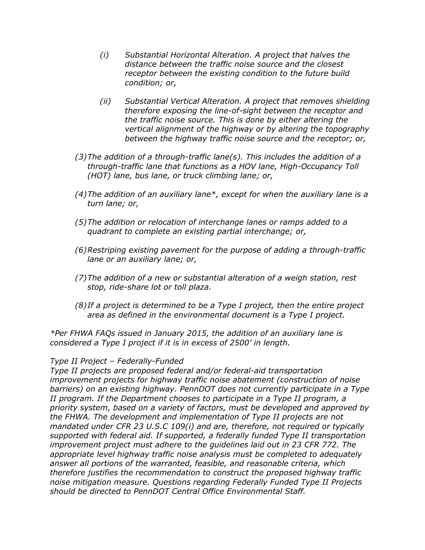- *(i) Substantial Horizontal Alteration. A project that halves the distance between the traffic noise source and the closest receptor between the existing condition to the future build condition; or,*
- *(ii) Substantial Vertical Alteration. A project that removes shielding therefore exposing the line-of-sight between the receptor and the traffic noise source. This is done by either altering the vertical alignment of the highway or by altering the topography between the highway traffic noise source and the receptor; or,*
- *(3)The addition of a through-traffic lane(s). This includes the addition of a through-traffic lane that functions as a HOV lane, High-Occupancy Toll (HOT) lane, bus lane, or truck climbing lane; or,*
- *(4)The addition of an auxiliary lane\*, except for when the auxiliary lane is a turn lane; or,*
- *(5)The addition or relocation of interchange lanes or ramps added to a quadrant to complete an existing partial interchange; or,*
- *(6)Restriping existing pavement for the purpose of adding a through-traffic lane or an auxiliary lane; or,*
- *(7)The addition of a new or substantial alteration of a weigh station, rest stop, ride-share lot or toll plaza.*
- *(8)If a project is determined to be a Type I project, then the entire project area as defined in the environmental document is a Type I project.*

*\*Per FHWA FAQs issued in January 2015, the addition of an auxiliary lane is considered a Type I project if it is in excess of 2500' in length.*

## *Type II Project – Federally-Funded*

*Type II projects are proposed federal and/or federal-aid transportation improvement projects for highway traffic noise abatement (construction of noise barriers) on an existing highway. PennDOT does not currently participate in a Type II program. If the Department chooses to participate in a Type II program, a priority system, based on a variety of factors, must be developed and approved by the FHWA. The development and implementation of Type II projects are not mandated under CFR 23 U.S.C 109(i) and are, therefore, not required or typically supported with federal aid. If supported, a federally funded Type II transportation improvement project must adhere to the quidelines laid out in 23 CFR 772. The appropriate level highway traffic noise analysis must be completed to adequately answer all portions of the warranted, feasible, and reasonable criteria, which therefore justifies the recommendation to construct the proposed highway traffic noise mitigation measure. Questions regarding Federally Funded Type II Projects should be directed to PennDOT Central Office Environmental Staff.*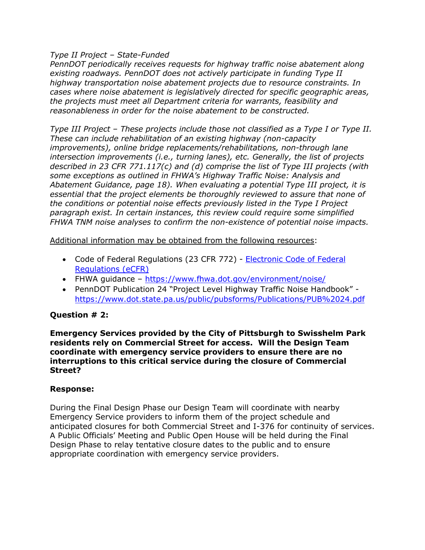## *Type II Project – State-Funded*

*PennDOT periodically receives requests for highway traffic noise abatement along existing roadways. PennDOT does not actively participate in funding Type II highway transportation noise abatement projects due to resource constraints. In cases where noise abatement is legislatively directed for specific geographic areas, the projects must meet all Department criteria for warrants, feasibility and reasonableness in order for the noise abatement to be constructed.*

*Type III Project – These projects include those not classified as a Type I or Type II. These can include rehabilitation of an existing highway (non-capacity improvements), online bridge replacements/rehabilitations, non-through lane intersection improvements (i.e., turning lanes), etc. Generally, the list of projects described in 23 CFR 771.117(c) and (d) comprise the list of Type III projects (with some exceptions as outlined in FHWA's Highway Traffic Noise: Analysis and Abatement Guidance, page 18). When evaluating a potential Type III project, it is essential that the project elements be thoroughly reviewed to assure that none of the conditions or potential noise effects previously listed in the Type I Project paragraph exist. In certain instances, this review could require some simplified FHWA TNM noise analyses to confirm the non-existence of potential noise impacts.*

Additional information may be obtained from the following resources:

- Code of Federal Regulations (23 CFR 772) **Electronic Code of Federal** [Regulations \(eCFR\)](https://www.ecfr.gov/cgi-bin/text-idx?c=ecfr;sid=1253e5cedf4b79ecfc5150fe9d7d00e7;rgn=div5;view=text;node=23%3A1.0.1.8.44;idno=23;cc=ecfr)
- FHWA guidance <https://www.fhwa.dot.gov/environment/noise/>
- PennDOT Publication 24 "Project Level Highway Traffic Noise Handbook" <https://www.dot.state.pa.us/public/pubsforms/Publications/PUB%2024.pdf>

# **Question # 2:**

**Emergency Services provided by the City of Pittsburgh to Swisshelm Park residents rely on Commercial Street for access. Will the Design Team coordinate with emergency service providers to ensure there are no interruptions to this critical service during the closure of Commercial Street?**

## **Response:**

During the Final Design Phase our Design Team will coordinate with nearby Emergency Service providers to inform them of the project schedule and anticipated closures for both Commercial Street and I-376 for continuity of services. A Public Officials' Meeting and Public Open House will be held during the Final Design Phase to relay tentative closure dates to the public and to ensure appropriate coordination with emergency service providers.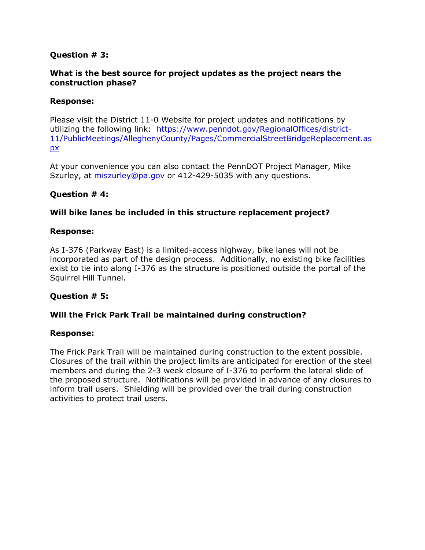## **Question # 3:**

## **What is the best source for project updates as the project nears the construction phase?**

## **Response:**

Please visit the District 11-0 Website for project updates and notifications by utilizing the following link: [https://www.penndot.gov/RegionalOffices/district-](https://www.penndot.gov/RegionalOffices/district-11/PublicMeetings/AlleghenyCounty/Pages/CommercialStreetBridgeReplacement.aspx)[11/PublicMeetings/AlleghenyCounty/Pages/CommercialStreetBridgeReplacement.as](https://www.penndot.gov/RegionalOffices/district-11/PublicMeetings/AlleghenyCounty/Pages/CommercialStreetBridgeReplacement.aspx) [px](https://www.penndot.gov/RegionalOffices/district-11/PublicMeetings/AlleghenyCounty/Pages/CommercialStreetBridgeReplacement.aspx)

At your convenience you can also contact the PennDOT Project Manager, Mike Szurley, at [miszurley@pa.gov](mailto:miszurley@pa.gov) or 412-429-5035 with any questions.

## **Question # 4:**

## **Will bike lanes be included in this structure replacement project?**

## **Response:**

As I-376 (Parkway East) is a limited-access highway, bike lanes will not be incorporated as part of the design process. Additionally, no existing bike facilities exist to tie into along I-376 as the structure is positioned outside the portal of the Squirrel Hill Tunnel.

## **Question # 5:**

## **Will the Frick Park Trail be maintained during construction?**

## **Response:**

The Frick Park Trail will be maintained during construction to the extent possible. Closures of the trail within the project limits are anticipated for erection of the steel members and during the 2-3 week closure of I-376 to perform the lateral slide of the proposed structure. Notifications will be provided in advance of any closures to inform trail users. Shielding will be provided over the trail during construction activities to protect trail users.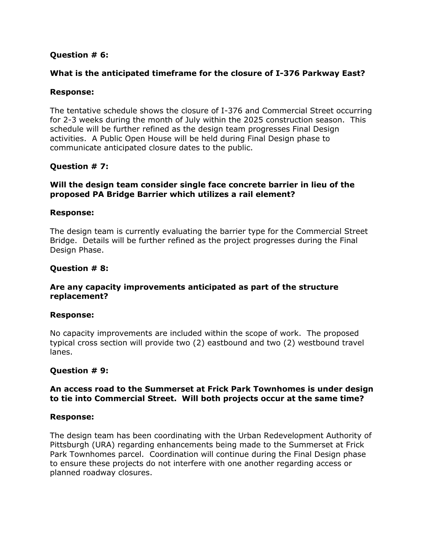## **Question # 6:**

## **What is the anticipated timeframe for the closure of I-376 Parkway East?**

## **Response:**

The tentative schedule shows the closure of I-376 and Commercial Street occurring for 2-3 weeks during the month of July within the 2025 construction season. This schedule will be further refined as the design team progresses Final Design activities. A Public Open House will be held during Final Design phase to communicate anticipated closure dates to the public.

## **Question # 7:**

## **Will the design team consider single face concrete barrier in lieu of the proposed PA Bridge Barrier which utilizes a rail element?**

## **Response:**

The design team is currently evaluating the barrier type for the Commercial Street Bridge. Details will be further refined as the project progresses during the Final Design Phase.

## **Question # 8:**

## **Are any capacity improvements anticipated as part of the structure replacement?**

## **Response:**

No capacity improvements are included within the scope of work. The proposed typical cross section will provide two (2) eastbound and two (2) westbound travel lanes.

## **Question # 9:**

## **An access road to the Summerset at Frick Park Townhomes is under design to tie into Commercial Street. Will both projects occur at the same time?**

## **Response:**

The design team has been coordinating with the Urban Redevelopment Authority of Pittsburgh (URA) regarding enhancements being made to the Summerset at Frick Park Townhomes parcel. Coordination will continue during the Final Design phase to ensure these projects do not interfere with one another regarding access or planned roadway closures.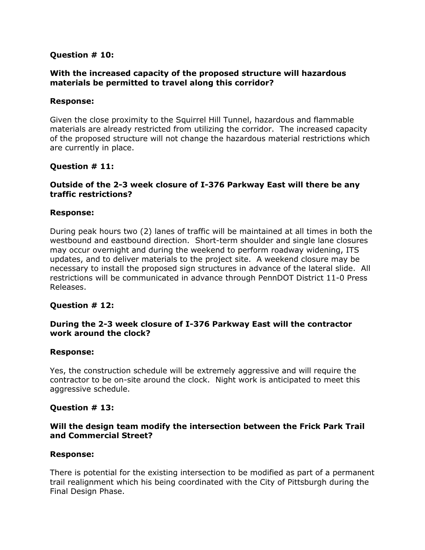## **Question # 10:**

## **With the increased capacity of the proposed structure will hazardous materials be permitted to travel along this corridor?**

#### **Response:**

Given the close proximity to the Squirrel Hill Tunnel, hazardous and flammable materials are already restricted from utilizing the corridor. The increased capacity of the proposed structure will not change the hazardous material restrictions which are currently in place.

## **Question # 11:**

## **Outside of the 2-3 week closure of I-376 Parkway East will there be any traffic restrictions?**

## **Response:**

During peak hours two (2) lanes of traffic will be maintained at all times in both the westbound and eastbound direction. Short-term shoulder and single lane closures may occur overnight and during the weekend to perform roadway widening, ITS updates, and to deliver materials to the project site. A weekend closure may be necessary to install the proposed sign structures in advance of the lateral slide. All restrictions will be communicated in advance through PennDOT District 11-0 Press Releases.

## **Question # 12:**

## **During the 2-3 week closure of I-376 Parkway East will the contractor work around the clock?**

#### **Response:**

Yes, the construction schedule will be extremely aggressive and will require the contractor to be on-site around the clock. Night work is anticipated to meet this aggressive schedule.

## **Question # 13:**

## **Will the design team modify the intersection between the Frick Park Trail and Commercial Street?**

#### **Response:**

There is potential for the existing intersection to be modified as part of a permanent trail realignment which his being coordinated with the City of Pittsburgh during the Final Design Phase.